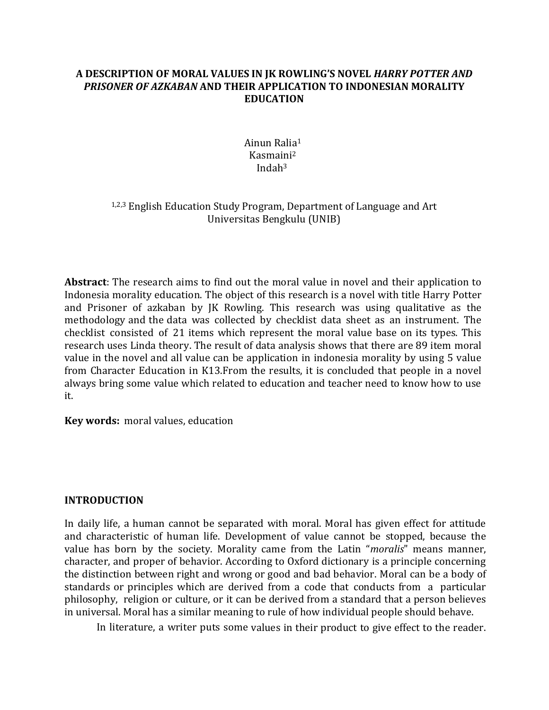## **A DESCRIPTION OF MORAL VALUES IN JK ROWLING'S NOVEL** *HARRY POTTER AND PRISONER OF AZKABAN* **AND THEIR APPLICATION TO INDONESIAN MORALITY EDUCATION**

Ainun Ralia 1 Kasmaini 2 Indah<sup>3</sup>

# 1,2,3 English Education Study Program, Department of Language and Art Universitas Bengkulu (UNIB)

**Abstract**: The research aims to find out the moral value in novel and their application to Indonesia morality education. The object of this research is a novel with title Harry Potter and Prisoner of azkaban by JK Rowling. This research was using qualitative as the methodology and the data was collected by checklist data sheet as an instrument. The checklist consisted of 21 items which represent the moral value base on its types. This research uses Linda theory. The result of data analysis shows that there are 89 item moral value in the novel and all value can be application in indonesia morality by using 5 value from Character Education in K13.From the results, it is concluded that people in a novel always bring some value which related to education and teacher need to know how to use it.

**Key words:** moral values, education

## **INTRODUCTION**

In daily life, a human cannot be separated with moral. Moral has given effect for attitude and characteristic of human life. Development of value cannot be stopped, because the value has born by the society. Morality came from the Latin "*moralis*" means manner, character, and proper of behavior. According to Oxford dictionary is a principle concerning the distinction between right and wrong or good and bad behavior. Moral can be a body of standards or principles which are derived from a code that conducts from a particular philosophy, religion or culture, or it can be derived from a standard that a person believes in universal. Moral has a similar meaning to rule of how individual people should behave.

In literature, a writer puts some values in their product to give effect to the reader.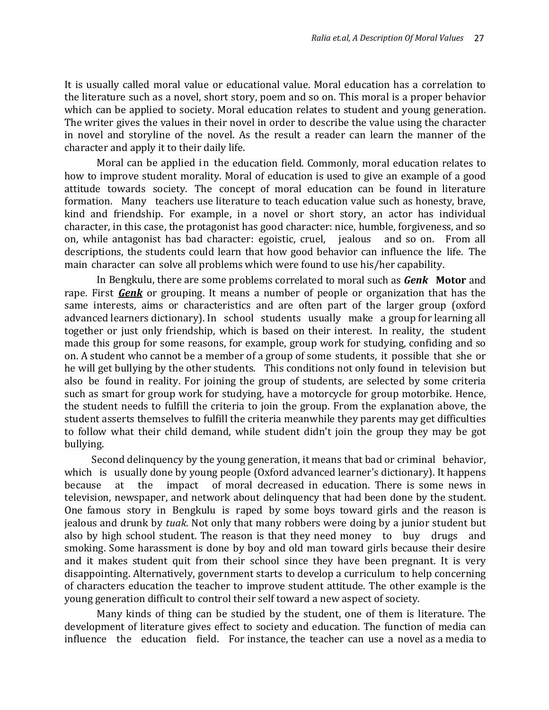It is usually called moral value or educational value. Moral education has a correlation to the literature such as a novel, short story, poem and so on. This moral is a proper behavior which can be applied to society. Moral education relates to student and young generation. The writer gives the values in their novel in order to describe the value using the character in novel and storyline of the novel. As the result a reader can learn the manner of the character and apply it to their daily life.

Moral can be applied i n the education field. Commonly, moral education relates to how to improve student morality. Moral of education is used to give an example of a good attitude towards society. The concept of moral education can be found in literature formation. Many teachers use literature to teach education value such as honesty, brave, kind and friendship. For example, in a novel or short story, an actor has individual character, in this case, the protagonist has good character: nice, humble, forgiveness, and so on, while antagonist has bad character: egoistic, cruel, jealous and so on. From all descriptions, the students could learn that how good behavior can influence the life. The main character can solve all problems which were found to use his/her capability.

In Bengkulu, there are some problems correlated to moral such as *Genk* **Motor** and rape. First *Genk* or grouping. It means a number of people or organization that has the same interests, aims or characteristics and are often part of the larger group (oxford advanced learners dictionary). In school students usually make a group for learning all together or just only friendship, which is based on their interest. In reality, the student made this group for some reasons, for example, group work for studying, confiding and so on. A student who cannot be a member of a group of some students, it possible that she or he will get bullying by the other students. This conditions not only found in television but also be found in reality. For joining the group of students, are selected by some criteria such as smart for group work for studying, have a motorcycle for group motorbike. Hence, the student needs to fulfill the criteria to join the group. From the explanation above, the student asserts themselves to fulfill the criteria meanwhile they parents may get difficulties to follow what their child demand, while student didn't join the group they may be got bullying.

Second delinquency by the young generation, it means that bad or criminal behavior, which is usually done by young people (Oxford advanced learner's dictionary). It happens because at the impact of moral decreased in education. There is some news in television, newspaper, and network about delinquency that had been done by the student. One famous story in Bengkulu is raped by some boys toward girls and the reason is jealous and drunk by *tuak*. Not only that many robbers were doing by a junior student but also by high school student. The reason is that they need money to buy drugs and smoking. Some harassment is done by boy and old man toward girls because their desire and it makes student quit from their school since they have been pregnant. It is very disappointing. Alternatively, government starts to develop a curriculum to help concerning of characters education the teacher to improve student attitude. The other example is the young generation difficult to control their self toward a new aspect of society.

Many kinds of thing can be studied by the student, one of them is literature. The development of literature gives effect to society and education. The function of media can influence the education field. For instance, the teacher can use a novel as a media to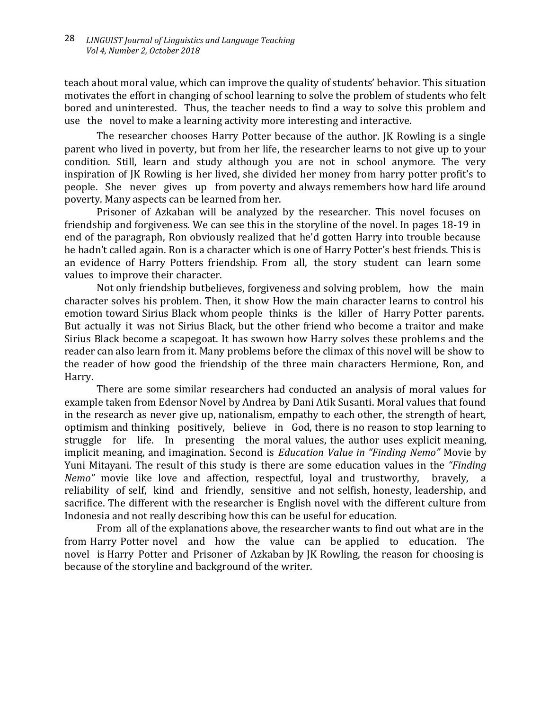teach about moral value, which can improve the quality of students' behavior. This situation motivates the effort in changing of school learning to solve the problem of students who felt bored and uninterested. Thus, the teacher needs to find a way to solve this problem and use the novel to make a learning activity more interesting and interactive.

The researcher chooses Harry Potter because of the author. JK Rowling is a single parent who lived in poverty, but from her life, the researcher learns to not give up to your condition. Still, learn and study although you are not in school anymore. The very inspiration of JK Rowling is her lived, she divided her money from harry potter profit's to people. She never gives up from poverty and always remembers how hard life around poverty. Many aspects can be learned from her.

Prisoner of Azkaban will be analyzed by the researcher. This novel focuses on friendship and forgiveness. We can see this in the storyline of the novel. In pages 18-19 in end of the paragraph, Ron obviously realized that he'd gotten Harry into trouble because he hadn't called again. Ron is a character which is one of Harry Potter's best friends. This is an evidence of Harry Potters friendship. From all, the story student can learn some values to improve their character.

Not only friendship butbelieves, forgiveness and solving problem, how the main character solves his problem. Then, it show How the main character learns to control his emotion toward Sirius Black whom people thinks is the killer of Harry Potter parents. But actually it was not Sirius Black, but the other friend who become a traitor and make Sirius Black become a scapegoat. It has swown how Harry solves these problems and the reader can also learn from it. Many problems before the climax of this novel will be show to the reader of how good the friendship of the three main characters Hermione, Ron, and Harry.

There are some similar researchers had conducted an analysis of moral values for example taken from Edensor Novel by Andrea by Dani Atik Susanti. Moral values that found in the research as never give up, nationalism, empathy to each other, the strength of heart, optimism and thinking positively, believe in God, there is no reason to stop learning to struggle for life. In presenting the moral values, the author uses explicit meaning, implicit meaning, and imagination. Second is *Education Value in "Finding Nemo"* Movie by Yuni Mitayani. The result of this study is there are some education values in the *"Finding Nemo*<sup>"</sup> movie like love and affection, respectful, loyal and trustworthy, bravely, reliability of self, kind and friendly, sensitive and not selfish, honesty, leadership, and sacrifice. The different with the researcher is English novel with the different culture from Indonesia and not really describing how this can be useful for education.

From all of the explanations above, the researcher wants to find out what are in the from Harry Potter novel and how the value can be applied to education. The novel is Harry Potter and Prisoner of Azkaban by JK Rowling, the reason for choosing is because of the storyline and background of the writer.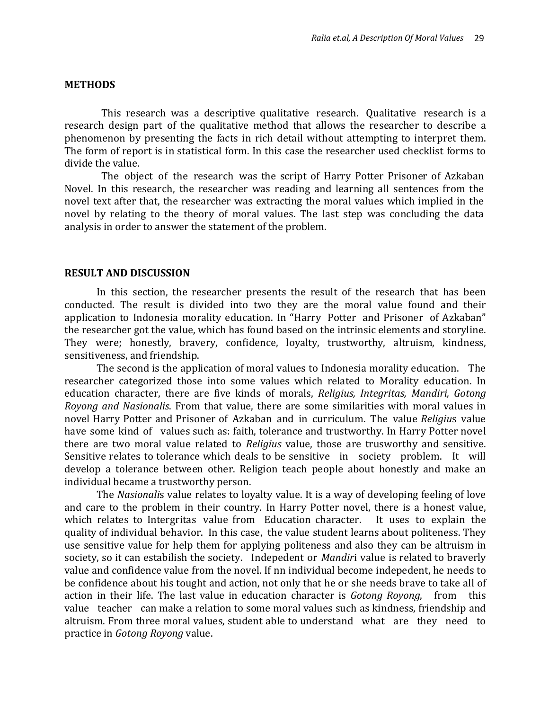## **METHODS**

This research was a descriptive qualitative research. Qualitative research is a research design part of the qualitative method that allows the researcher to describe a phenomenon by presenting the facts in rich detail without attempting to interpret them. The form of report is in statistical form. In this case the researcher used checklist forms to divide the value.

The object of the research was the script of Harry Potter Prisoner of Azkaban Novel. In this research, the researcher was reading and learning all sentences from the novel text after that, the researcher was extracting the moral values which implied in the novel by relating to the theory of moral values. The last step was concluding the data analysis in order to answer the statement of the problem.

#### **RESULT AND DISCUSSION**

In this section, the researcher presents the result of the research that has been conducted. The result is divided into two they are the moral value found and their application to Indonesia morality education. In "Harry Potter and Prisoner of Azkaban" the researcher got the value, which has found based on the intrinsic elements and storyline. They were; honestly, bravery, confidence, loyalty, trustworthy, altruism, kindness, sensitiveness, and friendship.

The second is the application of moral values to Indonesia morality education. The researcher categorized those into some values which related to Morality education. In education character, there are five kinds of morals, *Religius, Integritas, Mandiri, Gotong Royong and Nasionalis*. From that value, there are some similarities with moral values in novel Harry Potter and Prisoner of Azkaban and in curriculum. The value *Religiu*s value have some kind of values such as: faith, tolerance and trustworthy. In Harry Potter novel there are two moral value related to *Religius* value, those are trusworthy and sensitive. Sensitive relates to tolerance which deals to be sensitive in society problem. It will develop a tolerance between other. Religion teach people about honestly and make an individual became a trustworthy person.

The *Nasionali*s value relates to loyalty value. It is a way of developing feeling of love and care to the problem in their country. In Harry Potter novel, there is a honest value, which relates to Intergritas value from Education character. It uses to explain the quality of individual behavior. In this case, the value student learns about politeness. They use sensitive value for help them for applying politeness and also they can be altruism in society, so it can estabilish the society. Indepedent or *Mandir*i value is related to braverly value and confidence value from the novel. If nn individual become indepedent, he needs to be confidence about his tought and action, not only that he or she needs brave to take all of action in their life. The last value in education character is *Gotong Royong*, from this value teacher can make a relation to some moral values such as kindness, friendship and altruism. From three moral values, student able to understand what are they need to practice in *Gotong Royong* value.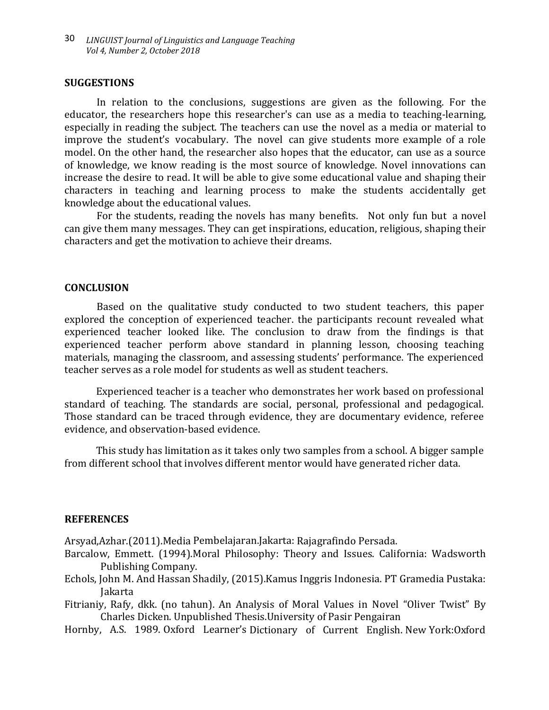## **SUGGESTIONS**

In relation to the conclusions, suggestions are given as the following. For the educator, the researchers hope this researcher's can use as a media to teaching-learning, especially in reading the subject. The teachers can use the novel as a media or material to improve the student's vocabulary. The novel can give students more example of a role model. On the other hand, the researcher also hopes that the educator, can use as a source of knowledge, we know reading is the most source of knowledge. Novel innovations can increase the desire to read. It will be able to give some educational value and shaping their characters in teaching and learning process to make the students accidentally get knowledge about the educational values.

For the students, reading the novels has many benefits. Not only fun but a novel can give them many messages. They can get inspirations, education, religious, shaping their characters and get the motivation to achieve their dreams.

## **CONCLUSION**

Based on the qualitative study conducted to two student teachers, this paper explored the conception of experienced teacher. the participants recount revealed what experienced teacher looked like. The conclusion to draw from the findings is that experienced teacher perform above standard in planning lesson, choosing teaching materials, managing the classroom, and assessing students' performance. The experienced teacher serves as a role model for students as well as student teachers.

Experienced teacher is a teacher who demonstrates her work based on professional standard of teaching. The standards are social, personal, professional and pedagogical. Those standard can be traced through evidence, they are documentary evidence, referee evidence, and observation-based evidence.

This study has limitation as it takes only two samples from a school. A bigger sample from different school that involves different mentor would have generated richer data.

#### **REFERENCES**

Arsyad,Azhar.(2011).Media Pembelajaran.Jakarta: Rajagrafindo Persada.

- Barcalow, Emmett. (1994).Moral Philosophy: Theory and Issues. California: Wadsworth Publishing Company.
- Echols, John M. And Hassan Shadily, (2015).Kamus Inggris Indonesia. PT Gramedia Pustaka: Jakarta
- Fitrianiy, Rafy, dkk. (no tahun). An Analysis of Moral Values in Novel "Oliver Twist" By Charles Dicken. Unpublished Thesis.University of Pasir Pengairan
- Hornby, A.S. 1989. Oxford Learner's Dictionary of Current English. New York:Oxford